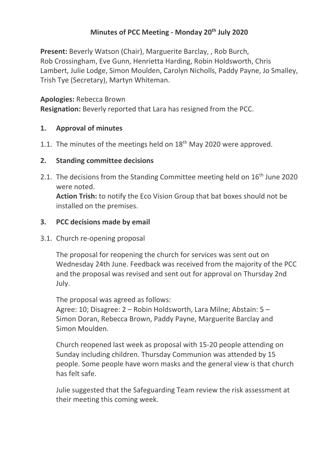# **Minutes of PCC Meeting - Monday 20th July 2020**

**Present:** Beverly Watson (Chair), Marguerite Barclay, , Rob Burch, Rob Crossingham, Eve Gunn, Henrietta Harding, Robin Holdsworth, Chris Lambert, Julie Lodge, Simon Moulden, Carolyn Nicholls, Paddy Payne, Jo Smalley, Trish Tye (Secretary), Martyn Whiteman.

**Apologies:** Rebecca Brown

**Resignation:** Beverly reported that Lara has resigned from the PCC.

## **1. Approval of minutes**

1.1. The minutes of the meetings held on  $18<sup>th</sup>$  May 2020 were approved.

## **2. Standing committee decisions**

2.1. The decisions from the Standing Committee meeting held on  $16<sup>th</sup>$  June 2020 were noted.

**Action Trish:** to notify the Eco Vision Group that bat boxes should not be installed on the premises.

## **3. PCC decisions made by email**

3.1. Church re-opening proposal

The proposal for reopening the church for services was sent out on Wednesday 24th June. Feedback was received from the majority of the PCC and the proposal was revised and sent out for approval on Thursday 2nd July.

The proposal was agreed as follows:

Agree: 10; Disagree: 2 – Robin Holdsworth, Lara Milne; Abstain: 5 – Simon Doran, Rebecca Brown, Paddy Payne, Marguerite Barclay and Simon Moulden.

Church reopened last week as proposal with 15-20 people attending on Sunday including children. Thursday Communion was attended by 15 people. Some people have worn masks and the general view is that church has felt safe.

Julie suggested that the Safeguarding Team review the risk assessment at their meeting this coming week.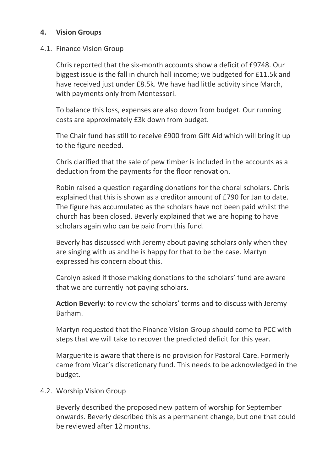## **4. Vision Groups**

#### 4.1. Finance Vision Group

Chris reported that the six-month accounts show a deficit of £9748. Our biggest issue is the fall in church hall income; we budgeted for £11.5k and have received just under £8.5k. We have had little activity since March, with payments only from Montessori.

To balance this loss, expenses are also down from budget. Our running costs are approximately £3k down from budget.

The Chair fund has still to receive £900 from Gift Aid which will bring it up to the figure needed.

Chris clarified that the sale of pew timber is included in the accounts as a deduction from the payments for the floor renovation.

Robin raised a question regarding donations for the choral scholars. Chris explained that this is shown as a creditor amount of £790 for Jan to date. The figure has accumulated as the scholars have not been paid whilst the church has been closed. Beverly explained that we are hoping to have scholars again who can be paid from this fund.

Beverly has discussed with Jeremy about paying scholars only when they are singing with us and he is happy for that to be the case. Martyn expressed his concern about this.

Carolyn asked if those making donations to the scholars' fund are aware that we are currently not paying scholars.

**Action Beverly:** to review the scholars' terms and to discuss with Jeremy Barham.

Martyn requested that the Finance Vision Group should come to PCC with steps that we will take to recover the predicted deficit for this year.

Marguerite is aware that there is no provision for Pastoral Care. Formerly came from Vicar's discretionary fund. This needs to be acknowledged in the budget.

4.2. Worship Vision Group

Beverly described the proposed new pattern of worship for September onwards. Beverly described this as a permanent change, but one that could be reviewed after 12 months.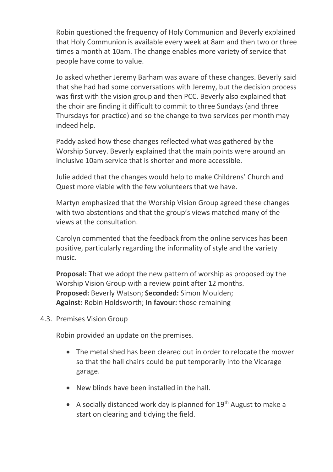Robin questioned the frequency of Holy Communion and Beverly explained that Holy Communion is available every week at 8am and then two or three times a month at 10am. The change enables more variety of service that people have come to value.

Jo asked whether Jeremy Barham was aware of these changes. Beverly said that she had had some conversations with Jeremy, but the decision process was first with the vision group and then PCC. Beverly also explained that the choir are finding it difficult to commit to three Sundays (and three Thursdays for practice) and so the change to two services per month may indeed help.

Paddy asked how these changes reflected what was gathered by the Worship Survey. Beverly explained that the main points were around an inclusive 10am service that is shorter and more accessible.

Julie added that the changes would help to make Childrens' Church and Quest more viable with the few volunteers that we have.

Martyn emphasized that the Worship Vision Group agreed these changes with two abstentions and that the group's views matched many of the views at the consultation.

Carolyn commented that the feedback from the online services has been positive, particularly regarding the informality of style and the variety music.

**Proposal:** That we adopt the new pattern of worship as proposed by the Worship Vision Group with a review point after 12 months. **Proposed:** Beverly Watson; **Seconded:** Simon Moulden; **Against:** Robin Holdsworth; **In favour:** those remaining

4.3. Premises Vision Group

Robin provided an update on the premises.

- The metal shed has been cleared out in order to relocate the mower so that the hall chairs could be put temporarily into the Vicarage garage.
- New blinds have been installed in the hall.
- A socially distanced work day is planned for  $19<sup>th</sup>$  August to make a start on clearing and tidying the field.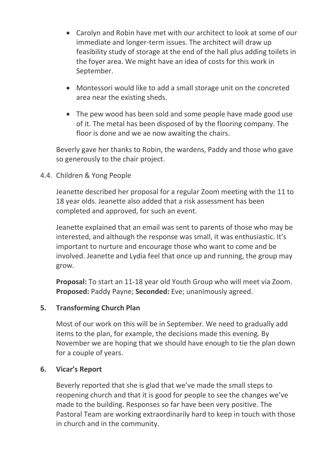- Carolyn and Robin have met with our architect to look at some of our immediate and longer-term issues. The architect will draw up feasibility study of storage at the end of the hall plus adding toilets in the foyer area. We might have an idea of costs for this work in September.
- Montessori would like to add a small storage unit on the concreted area near the existing sheds.
- The pew wood has been sold and some people have made good use of it. The metal has been disposed of by the flooring company. The floor is done and we ae now awaiting the chairs.

Beverly gave her thanks to Robin, the wardens, Paddy and those who gave so generously to the chair project.

## 4.4. Children & Yong People

Jeanette described her proposal for a regular Zoom meeting with the 11 to 18 year olds. Jeanette also added that a risk assessment has been completed and approved, for such an event.

Jeanette explained that an email was sent to parents of those who may be interested, and although the response was small, it was enthusiastic. It's important to nurture and encourage those who want to come and be involved. Jeanette and Lydia feel that once up and running, the group may grow.

**Proposal:** To start an 11-18 year old Youth Group who will meet via Zoom. **Proposed:** Paddy Payne; **Seconded:** Eve; unanimously agreed.

## **5. Transforming Church Plan**

Most of our work on this will be in September. We need to gradually add items to the plan, for example, the decisions made this evening. By November we are hoping that we should have enough to tie the plan down for a couple of years.

#### **6. Vicar's Report**

Beverly reported that she is glad that we've made the small steps to reopening church and that it is good for people to see the changes we've made to the building. Responses so far have been very positive. The Pastoral Team are working extraordinarily hard to keep in touch with those in church and in the community.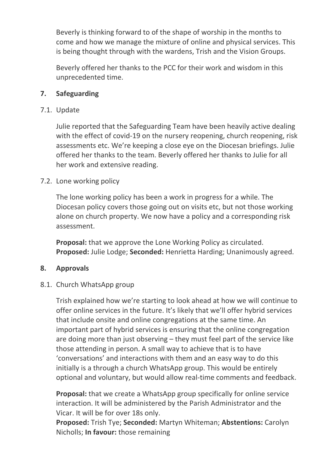Beverly is thinking forward to of the shape of worship in the months to come and how we manage the mixture of online and physical services. This is being thought through with the wardens, Trish and the Vision Groups.

Beverly offered her thanks to the PCC for their work and wisdom in this unprecedented time.

#### **7. Safeguarding**

#### 7.1. Update

Julie reported that the Safeguarding Team have been heavily active dealing with the effect of covid-19 on the nursery reopening, church reopening, risk assessments etc. We're keeping a close eye on the Diocesan briefings. Julie offered her thanks to the team. Beverly offered her thanks to Julie for all her work and extensive reading.

## 7.2. Lone working policy

The lone working policy has been a work in progress for a while. The Diocesan policy covers those going out on visits etc, but not those working alone on church property. We now have a policy and a corresponding risk assessment.

**Proposal:** that we approve the Lone Working Policy as circulated. **Proposed:** Julie Lodge; **Seconded:** Henrietta Harding; Unanimously agreed.

#### **8. Approvals**

#### 8.1. Church WhatsApp group

Trish explained how we're starting to look ahead at how we will continue to offer online services in the future. It's likely that we'll offer hybrid services that include onsite and online congregations at the same time. An important part of hybrid services is ensuring that the online congregation are doing more than just observing – they must feel part of the service like those attending in person. A small way to achieve that is to have 'conversations' and interactions with them and an easy way to do this initially is a through a church WhatsApp group. This would be entirely optional and voluntary, but would allow real-time comments and feedback.

**Proposal:** that we create a WhatsApp group specifically for online service interaction. It will be administered by the Parish Administrator and the Vicar. It will be for over 18s only.

**Proposed:** Trish Tye; **Seconded:** Martyn Whiteman; **Abstentions:** Carolyn Nicholls; **In favour:** those remaining